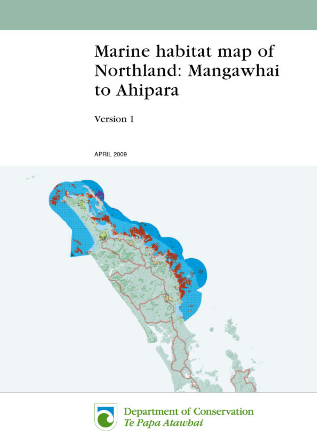# Marine habitat map of Northland: Mangawhai to Ahipara

Version 1

**APRIL 2009** 





Department of Conservation Te Papa Atawbai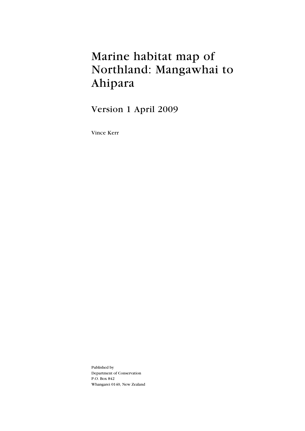# Marine habitat map of Northland: Mangawhai to Ahipara

Version 1 April 2009

Vince Kerr

Published by Department of Conservation P.O. Box 842 Whangarei 0140, New Zealand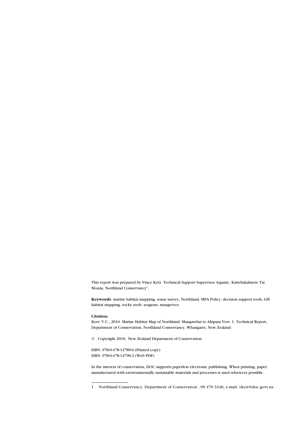This report was prepared by Vince Kerr, Technical Support Supervisor Aquatic, Kaiwhakahaere Tai Moana, Northland Conservancy<sup>1</sup>.

**Keywords**: marine habitat mapping, sonar survey, Northland, MPA Policy, decision support tools, GIS habitat mapping, rocky reefs, seagrass, mangroves

#### **Citation:**

Kerr, V.C., 2010. Marine Habitat Map of Northland: Mangawhai to Ahipara Vers. 1. Technical Report, Department of Conservation, Northland Conservancy, Whangarei, New Zealand.

© Copyright 2010, New Zealand Department of Conservation

ISBN: 978-0-478-14789-6 (Printed copy) ISBN: 978-0-478-14790-2 (Web PDF)

In the interest of conservation, DOC supports paperless electronic publishing. When printing, paper manufactured with environmentally sustainable materials and processes is used wherever possible.

<sup>1</sup> Northland Conservancy, Department of Conservation , 09 470 3346, e-mail: vkerr@doc.govt.nz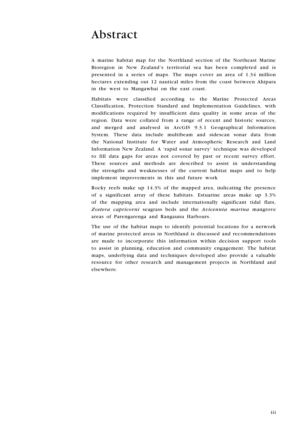## Abstract

A marine habitat map for the Northland section of the Northeast Marine Bioregion in New Zealand's territorial sea has been completed and is presented in a series of maps. The maps cover an area of 1.34 million hectares extending out 12 nautical miles from the coast between Ahipara in the west to Mangawhai on the east coast.

Habitats were classified according to the Marine Protected Areas Classification, Protection Standard and Implementation Guidelines, with modifications required by insufficient data quality in some areas of the region. Data were collated from a range of recent and historic sources, and merged and analysed in ArcGIS 9.3.1 Geographical Information System. These data include multibeam and sidescan sonar data from the National Institute for Water and Atmospheric Research and Land Information New Zealand. A 'rapid sonar survey' technique was developed to fill data gaps for areas not covered by past or recent survey effort. These sources and methods are described to assist in understanding the strengths and weaknesses of the current habitat maps and to help implement improvements in this and future work

Rocky reefs make up 14.3% of the mapped area, indicating the presence of a significant array of these habitats. Estuarine areas make up 3.3% of the mapping area and include internationally significant tidal flats, *Zostera capricorni* seagrass beds and the *Avicennia marina* mangrove areas of Parengarenga and Rangaunu Harbours.

The use of the habitat maps to identify potential locations for a network of marine protected areas in Northland is discussed and recommendations are made to incorporate this information within decision support tools to assist in planning, education and community engagement. The habitat maps, underlying data and techniques developed also provide a valuable resource for other research and management projects in Northland and elsewhere.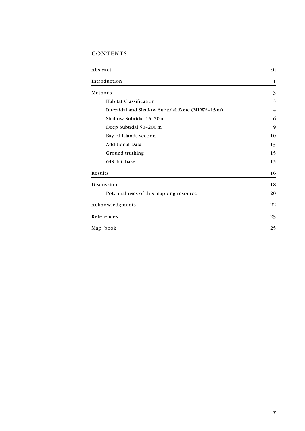### CONTENTS

| Abstract                                         | iii            |
|--------------------------------------------------|----------------|
| Introduction                                     | 1              |
| Methods                                          | $\mathfrak{Z}$ |
| <b>Habitat Classification</b>                    | 3              |
| Intertidal and Shallow Subtidal Zone (MLWS-15 m) | 4              |
| Shallow Subtidal 15-50 m                         | 6              |
| Deep Subtidal 50-200 m                           | 9              |
| Bay of Islands section                           | 10             |
| <b>Additional Data</b>                           | 13             |
| Ground truthing                                  | 15             |
| GIS database                                     | 15             |
| Results                                          | 16             |
| Discussion                                       | 18             |
| Potential uses of this mapping resource          | 20             |
| Acknowledgments                                  | 22             |
| References                                       | 23             |
| Map book                                         | 25             |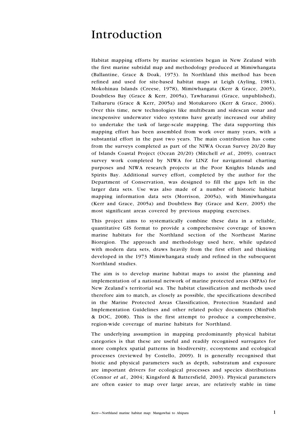### Introduction

Habitat mapping efforts by marine scientists began in New Zealand with the first marine subtidal map and methodology produced at Mimiwhangata (Ballantine, Grace & Doak, 1973). In Northland this method has been refined and used for site-based habitat maps at Leigh (Ayling, 1981), Mokohinau Islands (Creese, 1978), Mimiwhangata (Kerr & Grace, 2005), Doubtless Bay (Grace & Kerr, 2005a), Tawharanui (Grace, unpublished), Taiharuru (Grace & Kerr, 2005a) and Motukaroro (Kerr & Grace, 2006). Over this time, new technologies like multibeam and sidescan sonar and inexpensive underwater video systems have greatly increased our ability to undertake the task of large-scale mapping. The data supporting this mapping effort has been assembled from work over many years, with a substantial effort in the past two years. The main contribution has come from the surveys completed as part of the NIWA Ocean Survey 20/20 Bay of Islands Coastal Project (Ocean 20/20) (Mitchell *et al.*, 2009), contract survey work completed by NIWA for LINZ for navigational charting purposes and NIWA research projects at the Poor Knights Islands and Spirits Bay. Additional survey effort, completed by the author for the Department of Conservation, was designed to fill the gaps left in the larger data sets. Use was also made of a number of historic habitat mapping information data sets (Morrison, 2005a), with Mimiwhangata (Kerr and Grace, 2005a) and Doubtless Bay (Grace and Kerr, 2005) the most significant areas covered by previous mapping exercises.

This project aims to systematically combine these data in a reliable, quantitative GIS format to provide a comprehensive coverage of known marine habitats for the Northland section of the Northeast Marine Bioregion. The approach and methodology used here, while updated with modern data sets, draws heavily from the first effort and thinking developed in the 1973 Mimiwhangata study and refined in the subsequent Northland studies.

The aim is to develop marine habitat maps to assist the planning and implementation of a national network of marine protected areas (MPAs) for New Zealand's territorial sea. The habitat classification and methods used therefore aim to match, as closely as possible, the specifications described in the Marine Protected Areas Classification, Protection Standard and Implementation Guidelines and other related policy documents (MinFish & DOC, 2008). This is the first attempt to produce a comprehensive, region-wide coverage of marine habitats for Northland.

The underlying assumption in mapping predominantly physical habitat categories is that these are useful and readily recognised surrogates for more complex spatial patterns in biodiversity, ecosystems and ecological processes (reviewed by Costello, 2009). It is generally recognised that biotic and physical parameters such as depth, substratum and exposure are important drivers for ecological processes and species distributions (Connor *et al.,* 2004; Kingsford & Battersfield, 2003). Physical parameters are often easier to map over large areas, are relatively stable in time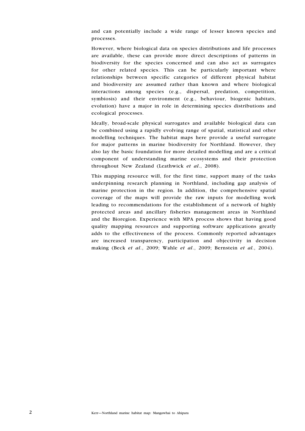and can potentially include a wide range of lesser known species and processes.

However, where biological data on species distributions and life processes are available, these can provide more direct descriptions of patterns in biodiversity for the species concerned and can also act as surrogates for other related species. This can be particularly important where relationships between specific categories of different physical habitat and biodiversity are assumed rather than known and where biological interactions among species (e.g., dispersal, predation, competition, symbiosis) and their environment (e.g., behaviour, biogenic habitats, evolution) have a major in role in determining species distributions and ecological processes.

Ideally, broad-scale physical surrogates and available biological data can be combined using a rapidly evolving range of spatial, statistical and other modelling techniques. The habitat maps here provide a useful surrogate for major patterns in marine biodiversity for Northland. However, they also lay the basic foundation for more detailed modelling and are a critical component of understanding marine ecosystems and their protection throughout New Zealand (Leathwick *et al*., 2008).

This mapping resource will, for the first time, support many of the tasks underpinning research planning in Northland, including gap analysis of marine protection in the region. In addition, the comprehensive spatial coverage of the maps will provide the raw inputs for modelling work leading to recommendations for the establishment of a network of highly protected areas and ancillary fisheries management areas in Northland and the Bioregion. Experience with MPA process shows that having good quality mapping resources and supporting software applications greatly adds to the effectiveness of the process. Commonly reported advantages are increased transparency, participation and objectivity in decision making (Beck *et al*., 2009; Wahle *et al*., 2009; Bernstein *et al.*, 2004).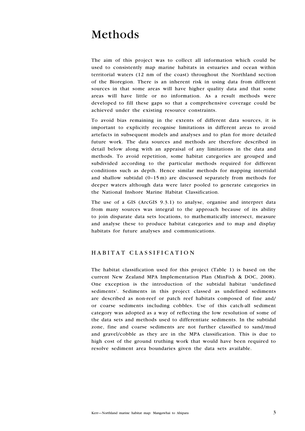### Methods

The aim of this project was to collect all information which could be used to consistently map marine habitats in estuaries and ocean within territorial waters (12 nm of the coast) throughout the Northland section of the Bioregion. There is an inherent risk in using data from different sources in that some areas will have higher quality data and that some areas will have little or no information. As a result methods were developed to fill these gaps so that a comprehensive coverage could be achieved under the existing resource constraints.

To avoid bias remaining in the extents of different data sources, it is important to explicitly recognise limitations in different areas to avoid artefacts in subsequent models and analyses and to plan for more detailed future work. The data sources and methods are therefore described in detail below along with an appraisal of any limitations in the data and methods. To avoid repetition, some habitat categories are grouped and subdivided according to the particular methods required for different conditions such as depth. Hence similar methods for mapping intertidal and shallow subtidal (0–15 m) are discussed separately from methods for deeper waters although data were later pooled to generate categories in the National Inshore Marine Habitat Classification.

The use of a GIS (ArcGIS 9.3.1) to analyse, organise and interpret data from many sources was integral to the approach because of its ability to join disparate data sets locations, to mathematically intersect, measure and analyse these to produce habitat categories and to map and display habitats for future analyses and communications.

#### HABITAT CLASSIFICATION

The habitat classification used for this project (Table 1) is based on the current New Zealand MPA Implementation Plan (MinFish & DOC, 2008). One exception is the introduction of the subtidal habitat 'undefined sediments'. Sediments in this project classed as undefined sediments are described as non-reef or patch reef habitats composed of fine and/ or coarse sediments including cobbles. Use of this catch-all sediment category was adopted as a way of reflecting the low resolution of some of the data sets and methods used to differentiate sediments. In the subtidal zone, fine and coarse sediments are not further classified to sand/mud and gravel/cobble as they are in the MPA classification. This is due to high cost of the ground truthing work that would have been required to resolve sediment area boundaries given the data sets available.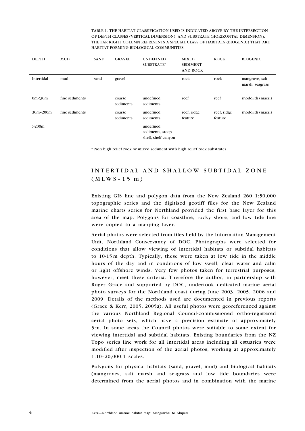TABLE 1. THE HABITAT CLASSIFICATION USED IS INDICATED ABOVE BY THE INTERSECTION OF DEPTH CLASSES (VERTICAL DIMENSION), AND SUBSTRATE (HORIZONTAL DIMENSION). THE FAR RIGHT COLUMN REPRESENTS A SPECIAL CLASS OF HABITATS (BIOGENIC) THAT ARE HABITAT FORMING BIOLOGICAL COMMUNITIES.

| <b>DEPTH</b>      | <b>MUD</b>     | <b>SAND</b> | <b>GRAVEL</b>       | <b>UNDEFINED</b><br>SUBSTRATE*                       | <b>MIXED</b><br><b>SEDIMENT</b><br><b>AND ROCK</b> | <b>ROCK</b>            | <b>BIOGENIC</b>                   |
|-------------------|----------------|-------------|---------------------|------------------------------------------------------|----------------------------------------------------|------------------------|-----------------------------------|
| Intertidal        | mud            | sand        | gravel              |                                                      | rock                                               | rock                   | mangrove, salt<br>marsh, seagrass |
| 0m <sub>30m</sub> | fine sediments |             | coarse<br>sediments | undefined<br>sediments                               | reef                                               | reef                   | rhodolith (maerl)                 |
| $30m - 200m$      | fine sediments |             | coarse<br>sediments | undefined<br>sediments                               | reef, ridge<br>feature                             | reef, ridge<br>feature | rhodolith (maerl)                 |
| >200m             |                |             |                     | undefined<br>sediments, steep<br>shelf, shelf canyon |                                                    |                        |                                   |

\* Non high relief rock or mixed sediment with high relief rock substrates

### INTERTIDAL AND SHALLOW SUBTIDAL ZONE  $(MLWS-15 m)$

Existing GIS line and polygon data from the New Zealand 260 1:50,000 topographic series and the digitised geotiff files for the New Zealand marine charts series for Northland provided the first base layer for this area of the map. Polygons for coastline, rocky shore, and low tide line were copied to a mapping layer.

Aerial photos were selected from files held by the Information Management Unit, Northland Conservancy of DOC. Photographs were selected for conditions that allow viewing of intertidal habitats or subtidal habitats to 10-15 m depth. Typically, these were taken at low tide in the middle hours of the day and in conditions of low swell, clear water and calm or light offshore winds. Very few photos taken for terrestrial purposes, however, meet these criteria. Therefore the author, in partnership with Roger Grace and supported by DOC, undertook dedicated marine aerial photo surveys for the Northland coast during June 2003, 2005, 2006 and 2009. Details of the methods used are documented in previous reports (Grace & Kerr, 2005, 2005a). All useful photos were georeferenced against the various Northland Regional Council-commissioned ortho-registered aerial photo sets, which have a precision estimate of approximately 5 m. In some areas the Council photos were suitable to some extent for viewing intertidal and subtidal habitats. Existing boundaries from the NZ Topo series line work for all intertidal areas including all estuaries were modified after inspection of the aerial photos, working at approximately 1:10–20,000:1 scales.

Polygons for physical habitats (sand, gravel, mud) and biological habitats (mangroves, salt marsh and seagrass and low tide boundaries were determined from the aerial photos and in combination with the marine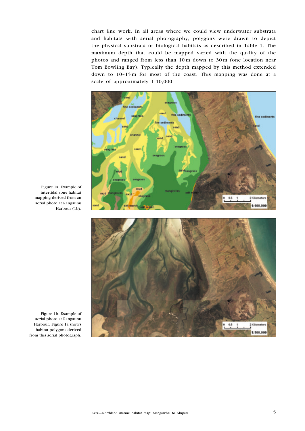chart line work. In all areas where we could view underwater substrata and habitats with aerial photography, polygons were drawn to depict the physical substrata or biological habitats as described in Table 1. The maximum depth that could be mapped varied with the quality of the photos and ranged from less than 10 m down to 30 m (one location near Tom Bowling Bay). Typically the depth mapped by this method extended down to 10–15 m for most of the coast. This mapping was done at a scale of approximately 1:10,000.



Figure 1a. Example of intertidal zone habitat mapping derived from an aerial photo at Rangaunu Harbour (1b).



Figure 1b. Example of aerial photo at Rangaunu Harbour. Figure 1a shows habitat polygons derived from this aerial photograph.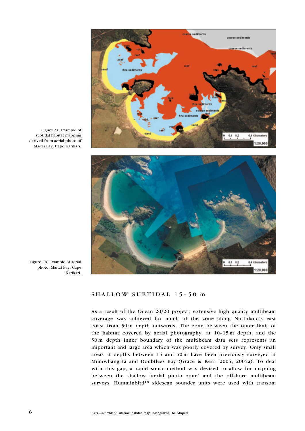

Figure 2a. Example of subtidal habitat mapping derived from aerial photo of Maitai Bay, Cape Karikari.



Figure 2b. Example of aerial photo, Maitai Bay, Cape Karikari.

#### SHALLOW SUBTIDAL 15–50 m

As a result of the Ocean 20/20 project, extensive high quality multibeam coverage was achieved for much of the zone along Northland's east coast from 50 m depth outwards. The zone between the outer limit of the habitat covered by aerial photography, at 10–15 m depth, and the 50 m depth inner boundary of the multibeam data sets represents an important and large area which was poorly covered by survey. Only small areas at depths between 15 and 50 m have been previously surveyed at Mimiwhangata and Doubtless Bay (Grace & Kerr, 2005, 2005a). To deal with this gap, a rapid sonar method was devised to allow for mapping between the shallow 'aerial photo zone' and the offshore multibeam surveys. Humminbird™ sidescan sounder units were used with transom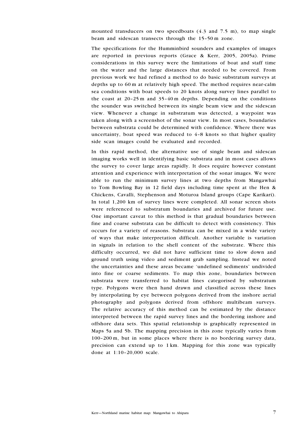mounted transducers on two speedboats (4.3 and 7.5 m), to map single beam and sidescan transects through the 15–50 m zone.

The specifications for the Humminbird sounders and examples of images are reported in previous reports (Grace & Kerr, 2005, 2005a). Prime considerations in this survey were the limitations of boat and staff time on the water and the large distances that needed to be covered. From previous work we had refined a method to do basic substratum surveys at depths up to 60 m at relatively high speed. The method requires near-calm sea conditions with boat speeds to 20 knots along survey lines parallel to the coast at 20–25 m and 35–40 m depths. Depending on the conditions the sounder was switched between its single beam view and the sidescan view. Whenever a change in substratum was detected, a waypoint was taken along with a screenshot of the sonar view. In most cases, boundaries between substrata could be determined with confidence. Where there was uncertainty, boat speed was reduced to  $4-8$  knots so that higher quality side scan images could be evaluated and recorded.

In this rapid method, the alternative use of single beam and sidescan imaging works well in identifying basic substrata and in most cases allows the survey to cover large areas rapidly. It does require however constant attention and experience with interpretation of the sonar images. We were able to run the minimum survey lines at two depths from Mangawhai to Tom Bowling Bay in 12 field days including time spent at the Hen & Chickens, Cavalli, Stephenson and Moturoa Island groups (Cape Karikari). In total 1,200 km of survey lines were completed. All sonar screen shots were referenced to substratum boundaries and archived for future use. One important caveat to this method is that gradual boundaries between fine and coarse substrata can be difficult to detect with consistency. This occurs for a variety of reasons. Substrata can be mixed in a wide variety of ways that make interpretation difficult. Another variable is variation in signals in relation to the shell content of the substrate. Where this difficulty occurred, we did not have sufficient time to slow down and ground truth using video and sediment grab sampling. Instead we noted the uncertainties and these areas became 'undefined sediments' undivided into fine or coarse sediments. To map this zone, boundaries between substrata were transferred to habitat lines categorised by substratum type. Polygons were then hand drawn and classified across these lines by interpolating by eye between polygons derived from the inshore aerial photography and polygons derived from offshore multibeam surveys. The relative accuracy of this method can be estimated by the distance interpreted between the rapid survey lines and the bordering inshore and offshore data sets. This spatial relationship is graphically represented in Maps 5a and 5b. The mapping precision in this zone typically varies from 100–200 m, but in some places where there is no bordering survey data, precision can extend up to 1 km. Mapping for this zone was typically done at 1:10–20,000 scale.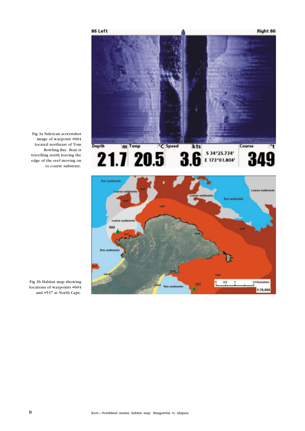

Fig 3a Sidescan screenshot image of waypoint #604 located northeast of Tom Bowling Bay. Boat is travelling north leaving the edge of the reef moving on to coarse substrate.



Fig 3b Habitat map showing locations of waypoints #604 and #537 at North Cape.